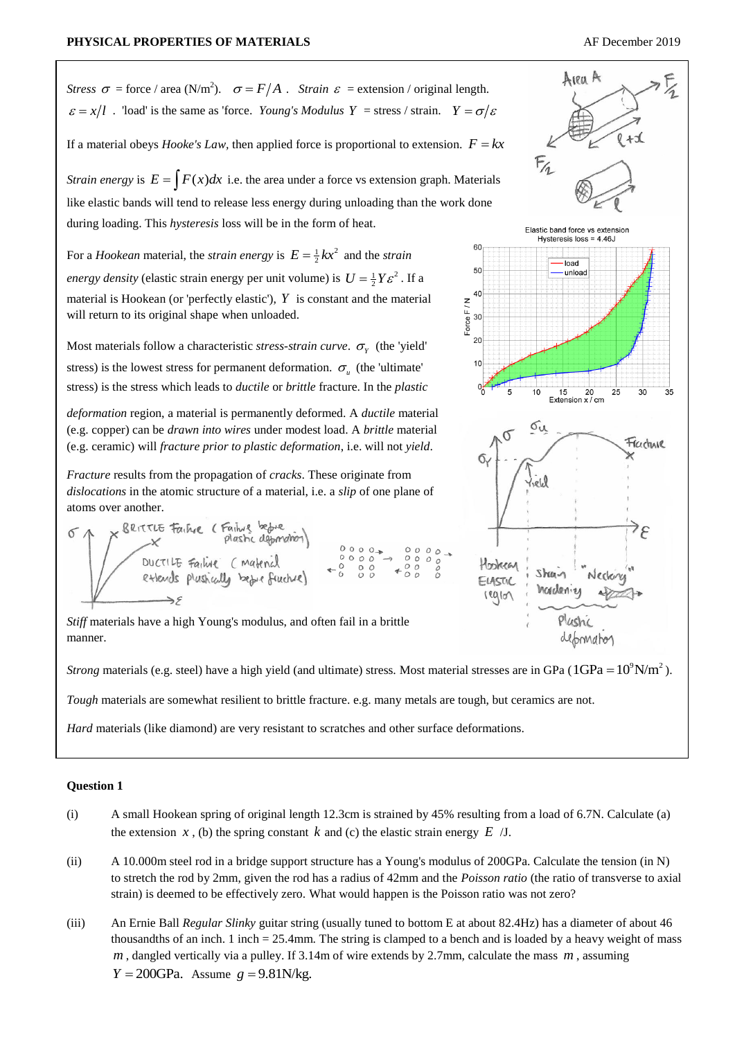

*Strain energy* is  $E = \int F(x)dx$  i.e. the area under a force vs extension graph. Materials like elastic bands will tend to release less energy during unloading than the work done during loading. This *hysteresis* loss will be in the form of heat.

For a *Hookean* material, the *strain energy* is  $E = \frac{1}{2}kx^2$  and the *strain energy density* (elastic strain energy per unit volume) is  $U = \frac{1}{2}Y\varepsilon^2$ . If a material is Hookean (or 'perfectly elastic'),  $Y$  is constant and the material will return to its original shape when unloaded.

Most materials follow a characteristic *stress-strain curve*.  $\sigma_{\gamma}$  (the 'yield' stress) is the lowest stress for permanent deformation.  $\sigma_u$  (the 'ultimate' stress) is the stress which leads to *ductile* or *brittle* fracture. In the *plastic* 

*deformation* region, a material is permanently deformed. A *ductile* material (e.g. copper) can be *drawn into wires* under modest load. A *brittle* material (e.g. ceramic) will *fracture prior to plastic deformation*, i.e. will not *yield*.

*Fracture* results from the propagation of *cracks*. These originate from *dislocations* in the atomic structure of a material, i.e. a *slip* of one plane of atoms over another.



*Stiff* materials have a high Young's modulus, and often fail in a brittle manner.

*Strong* materials (e.g. steel) have a high yield (and ultimate) stress. Most material stresses are in GPa ( $1$ GPa =  $10^9$ N/m<sup>2</sup>).

*Tough* materials are somewhat resilient to brittle fracture. e.g. many metals are tough, but ceramics are not.

*Hard* materials (like diamond) are very resistant to scratches and other surface deformations.

## **Question 1**

- (i) A small Hookean spring of original length 12.3cm is strained by 45% resulting from a load of 6.7N. Calculate (a) the extension  $x$ , (b) the spring constant  $k$  and (c) the elastic strain energy  $E$  /J.
- (ii) A 10.000m steel rod in a bridge support structure has a Young's modulus of 200GPa. Calculate the tension (in N) to stretch the rod by 2mm, given the rod has a radius of 42mm and the *Poisson ratio* (the ratio of transverse to axial strain) is deemed to be effectively zero. What would happen is the Poisson ratio was not zero?
- (iii) An Ernie Ball *Regular Slinky* guitar string (usually tuned to bottom E at about 82.4Hz) has a diameter of about 46 thousandths of an inch. 1 inch = 25.4mm. The string is clamped to a bench and is loaded by a heavy weight of mass *m* , dangled vertically via a pulley. If 3.14m of wire extends by 2.7mm, calculate the mass *m* , assuming  $Y = 200$ GPa. Assume  $g = 9.81$ N/kg.



60

50

40

어

Force F / N 30  $20$  $10$